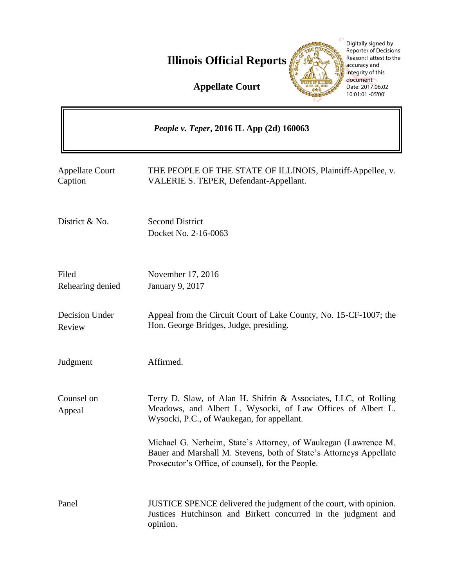

|                                                 | Digitally signed by<br><b>Reporter of Decisions</b><br>Reason: I attest to the<br><b>Illinois Official Reports</b><br>accuracy and<br>integrity of this<br>document<br><b>Appellate Court</b><br>Date: 2017.06.02<br>10:01:01 -05'00' |
|-------------------------------------------------|---------------------------------------------------------------------------------------------------------------------------------------------------------------------------------------------------------------------------------------|
| <i>People v. Teper, 2016 IL App (2d) 160063</i> |                                                                                                                                                                                                                                       |
| <b>Appellate Court</b><br>Caption               | THE PEOPLE OF THE STATE OF ILLINOIS, Plaintiff-Appellee, v.<br>VALERIE S. TEPER, Defendant-Appellant.                                                                                                                                 |
| District & No.                                  | <b>Second District</b><br>Docket No. 2-16-0063                                                                                                                                                                                        |
| Filed<br>Rehearing denied                       | November 17, 2016<br><b>January 9, 2017</b>                                                                                                                                                                                           |
| Decision Under<br>Review                        | Appeal from the Circuit Court of Lake County, No. 15-CF-1007; the<br>Hon. George Bridges, Judge, presiding.                                                                                                                           |
| Judgment                                        | Affirmed.                                                                                                                                                                                                                             |
| Counsel on<br>Appeal                            | Terry D. Slaw, of Alan H. Shifrin & Associates, LLC, of Rolling<br>Meadows, and Albert L. Wysocki, of Law Offices of Albert L.<br>Wysocki, P.C., of Waukegan, for appellant.                                                          |
|                                                 | Michael G. Nerheim, State's Attorney, of Waukegan (Lawrence M.<br>Bauer and Marshall M. Stevens, both of State's Attorneys Appellate<br>Prosecutor's Office, of counsel), for the People.                                             |
| Panel                                           | JUSTICE SPENCE delivered the judgment of the court, with opinion.<br>Justices Hutchinson and Birkett concurred in the judgment and<br>opinion.                                                                                        |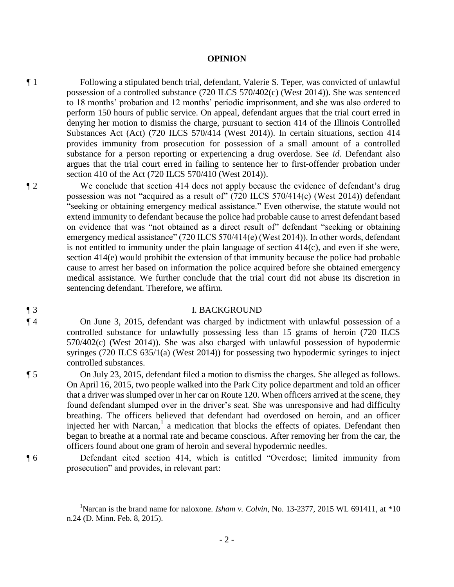#### **OPINION**

¶ 1 Following a stipulated bench trial, defendant, Valerie S. Teper, was convicted of unlawful possession of a controlled substance (720 ILCS 570/402(c) (West 2014)). She was sentenced to 18 months' probation and 12 months' periodic imprisonment, and she was also ordered to perform 150 hours of public service. On appeal, defendant argues that the trial court erred in denying her motion to dismiss the charge, pursuant to section 414 of the Illinois Controlled Substances Act (Act) (720 ILCS 570/414 (West 2014)). In certain situations, section 414 provides immunity from prosecution for possession of a small amount of a controlled substance for a person reporting or experiencing a drug overdose. See *id.* Defendant also argues that the trial court erred in failing to sentence her to first-offender probation under section 410 of the Act (720 ILCS 570/410 (West 2014)).

¶ 2 We conclude that section 414 does not apply because the evidence of defendant's drug possession was not "acquired as a result of" (720 ILCS 570/414(c) (West 2014)) defendant "seeking or obtaining emergency medical assistance." Even otherwise, the statute would not extend immunity to defendant because the police had probable cause to arrest defendant based on evidence that was "not obtained as a direct result of" defendant "seeking or obtaining emergency medical assistance" (720 ILCS 570/414(e) (West 2014)). In other words, defendant is not entitled to immunity under the plain language of section 414(c), and even if she were, section 414(e) would prohibit the extension of that immunity because the police had probable cause to arrest her based on information the police acquired before she obtained emergency medical assistance. We further conclude that the trial court did not abuse its discretion in sentencing defendant. Therefore, we affirm.

#### ¶ 3 I. BACKGROUND

¶ 4 On June 3, 2015, defendant was charged by indictment with unlawful possession of a controlled substance for unlawfully possessing less than 15 grams of heroin (720 ILCS 570/402(c) (West 2014)). She was also charged with unlawful possession of hypodermic syringes (720 ILCS 635/1(a) (West 2014)) for possessing two hypodermic syringes to inject controlled substances.

¶ 5 On July 23, 2015, defendant filed a motion to dismiss the charges. She alleged as follows. On April 16, 2015, two people walked into the Park City police department and told an officer that a driver was slumped over in her car on Route 120. When officers arrived at the scene, they found defendant slumped over in the driver's seat. She was unresponsive and had difficulty breathing. The officers believed that defendant had overdosed on heroin, and an officer injected her with Narcan, $<sup>1</sup>$  a medication that blocks the effects of opiates. Defendant then</sup> began to breathe at a normal rate and became conscious. After removing her from the car, the officers found about one gram of heroin and several hypodermic needles.

 $\overline{a}$ 

¶ 6 Defendant cited section 414, which is entitled "Overdose; limited immunity from prosecution" and provides, in relevant part:

<sup>1</sup>Narcan is the brand name for naloxone. *Isham v. Colvin*, No. 13-2377, 2015 WL 691411, at \*10 n.24 (D. Minn. Feb. 8, 2015).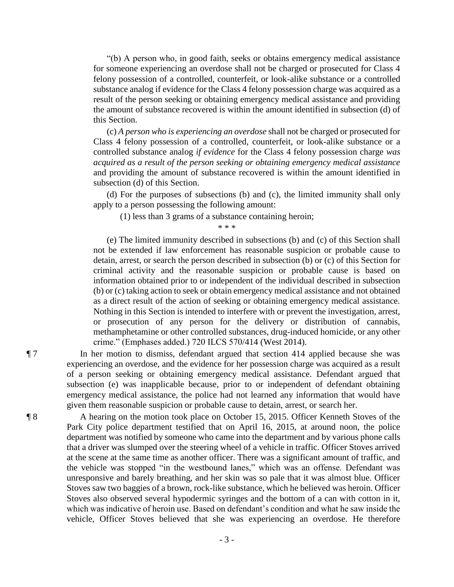"(b) A person who, in good faith, seeks or obtains emergency medical assistance for someone experiencing an overdose shall not be charged or prosecuted for Class 4 felony possession of a controlled, counterfeit, or look-alike substance or a controlled substance analog if evidence for the Class 4 felony possession charge was acquired as a result of the person seeking or obtaining emergency medical assistance and providing the amount of substance recovered is within the amount identified in subsection (d) of this Section.

 (c) *A person who is experiencing an overdose* shall not be charged or prosecuted for Class 4 felony possession of a controlled, counterfeit, or look-alike substance or a controlled substance analog *if evidence* for the Class 4 felony possession charge *was acquired as a result of the person seeking or obtaining emergency medical assistance* and providing the amount of substance recovered is within the amount identified in subsection (d) of this Section.

 (d) For the purposes of subsections (b) and (c), the limited immunity shall only apply to a person possessing the following amount:

(1) less than 3 grams of a substance containing heroin;

 $* * *$ 

 (e) The limited immunity described in subsections (b) and (c) of this Section shall not be extended if law enforcement has reasonable suspicion or probable cause to detain, arrest, or search the person described in subsection (b) or (c) of this Section for criminal activity and the reasonable suspicion or probable cause is based on information obtained prior to or independent of the individual described in subsection (b) or (c) taking action to seek or obtain emergency medical assistance and not obtained as a direct result of the action of seeking or obtaining emergency medical assistance. Nothing in this Section is intended to interfere with or prevent the investigation, arrest, or prosecution of any person for the delivery or distribution of cannabis, methamphetamine or other controlled substances, drug-induced homicide, or any other crime." (Emphases added.) 720 ILCS 570/414 (West 2014).

¶ 7 In her motion to dismiss, defendant argued that section 414 applied because she was experiencing an overdose, and the evidence for her possession charge was acquired as a result of a person seeking or obtaining emergency medical assistance. Defendant argued that subsection (e) was inapplicable because, prior to or independent of defendant obtaining emergency medical assistance, the police had not learned any information that would have given them reasonable suspicion or probable cause to detain, arrest, or search her.

¶ 8 A hearing on the motion took place on October 15, 2015. Officer Kenneth Stoves of the Park City police department testified that on April 16, 2015, at around noon, the police department was notified by someone who came into the department and by various phone calls that a driver was slumped over the steering wheel of a vehicle in traffic. Officer Stoves arrived at the scene at the same time as another officer. There was a significant amount of traffic, and the vehicle was stopped "in the westbound lanes," which was an offense. Defendant was unresponsive and barely breathing, and her skin was so pale that it was almost blue. Officer Stoves saw two baggies of a brown, rock-like substance, which he believed was heroin. Officer Stoves also observed several hypodermic syringes and the bottom of a can with cotton in it, which was indicative of heroin use. Based on defendant's condition and what he saw inside the vehicle, Officer Stoves believed that she was experiencing an overdose. He therefore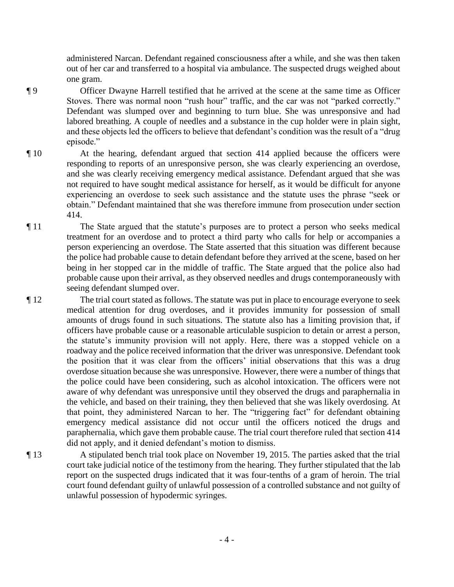administered Narcan. Defendant regained consciousness after a while, and she was then taken out of her car and transferred to a hospital via ambulance. The suspected drugs weighed about one gram.

- ¶ 9 Officer Dwayne Harrell testified that he arrived at the scene at the same time as Officer Stoves. There was normal noon "rush hour" traffic, and the car was not "parked correctly." Defendant was slumped over and beginning to turn blue. She was unresponsive and had labored breathing. A couple of needles and a substance in the cup holder were in plain sight, and these objects led the officers to believe that defendant's condition was the result of a "drug episode."
- ¶ 10 At the hearing, defendant argued that section 414 applied because the officers were responding to reports of an unresponsive person, she was clearly experiencing an overdose, and she was clearly receiving emergency medical assistance. Defendant argued that she was not required to have sought medical assistance for herself, as it would be difficult for anyone experiencing an overdose to seek such assistance and the statute uses the phrase "seek or obtain." Defendant maintained that she was therefore immune from prosecution under section 414.
- ¶ 11 The State argued that the statute's purposes are to protect a person who seeks medical treatment for an overdose and to protect a third party who calls for help or accompanies a person experiencing an overdose. The State asserted that this situation was different because the police had probable cause to detain defendant before they arrived at the scene, based on her being in her stopped car in the middle of traffic. The State argued that the police also had probable cause upon their arrival, as they observed needles and drugs contemporaneously with seeing defendant slumped over.
- ¶ 12 The trial court stated as follows. The statute was put in place to encourage everyone to seek medical attention for drug overdoses, and it provides immunity for possession of small amounts of drugs found in such situations. The statute also has a limiting provision that, if officers have probable cause or a reasonable articulable suspicion to detain or arrest a person, the statute's immunity provision will not apply. Here, there was a stopped vehicle on a roadway and the police received information that the driver was unresponsive. Defendant took the position that it was clear from the officers' initial observations that this was a drug overdose situation because she was unresponsive. However, there were a number of things that the police could have been considering, such as alcohol intoxication. The officers were not aware of why defendant was unresponsive until they observed the drugs and paraphernalia in the vehicle, and based on their training, they then believed that she was likely overdosing. At that point, they administered Narcan to her. The "triggering fact" for defendant obtaining emergency medical assistance did not occur until the officers noticed the drugs and paraphernalia, which gave them probable cause. The trial court therefore ruled that section 414 did not apply, and it denied defendant's motion to dismiss.
- ¶ 13 A stipulated bench trial took place on November 19, 2015. The parties asked that the trial court take judicial notice of the testimony from the hearing. They further stipulated that the lab report on the suspected drugs indicated that it was four-tenths of a gram of heroin. The trial court found defendant guilty of unlawful possession of a controlled substance and not guilty of unlawful possession of hypodermic syringes.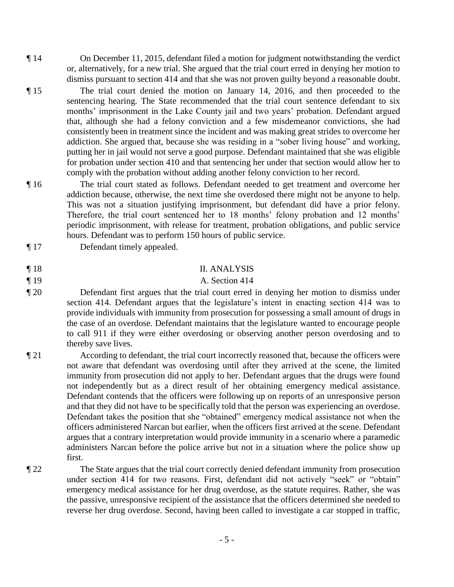- ¶ 14 On December 11, 2015, defendant filed a motion for judgment notwithstanding the verdict or, alternatively, for a new trial. She argued that the trial court erred in denying her motion to dismiss pursuant to section 414 and that she was not proven guilty beyond a reasonable doubt.
- ¶ 15 The trial court denied the motion on January 14, 2016, and then proceeded to the sentencing hearing. The State recommended that the trial court sentence defendant to six months' imprisonment in the Lake County jail and two years' probation. Defendant argued that, although she had a felony conviction and a few misdemeanor convictions, she had consistently been in treatment since the incident and was making great strides to overcome her addiction. She argued that, because she was residing in a "sober living house" and working, putting her in jail would not serve a good purpose. Defendant maintained that she was eligible for probation under section 410 and that sentencing her under that section would allow her to comply with the probation without adding another felony conviction to her record.
- ¶ 16 The trial court stated as follows. Defendant needed to get treatment and overcome her addiction because, otherwise, the next time she overdosed there might not be anyone to help. This was not a situation justifying imprisonment, but defendant did have a prior felony. Therefore, the trial court sentenced her to 18 months' felony probation and 12 months' periodic imprisonment, with release for treatment, probation obligations, and public service hours. Defendant was to perform 150 hours of public service.
- ¶ 17 Defendant timely appealed.

# ¶ 18 II. ANALYSIS

## ¶ 19 A. Section 414

- ¶ 20 Defendant first argues that the trial court erred in denying her motion to dismiss under section 414. Defendant argues that the legislature's intent in enacting section 414 was to provide individuals with immunity from prosecution for possessing a small amount of drugs in the case of an overdose. Defendant maintains that the legislature wanted to encourage people to call 911 if they were either overdosing or observing another person overdosing and to thereby save lives.
- ¶ 21 According to defendant, the trial court incorrectly reasoned that, because the officers were not aware that defendant was overdosing until after they arrived at the scene, the limited immunity from prosecution did not apply to her. Defendant argues that the drugs were found not independently but as a direct result of her obtaining emergency medical assistance. Defendant contends that the officers were following up on reports of an unresponsive person and that they did not have to be specifically told that the person was experiencing an overdose. Defendant takes the position that she "obtained" emergency medical assistance not when the officers administered Narcan but earlier, when the officers first arrived at the scene. Defendant argues that a contrary interpretation would provide immunity in a scenario where a paramedic administers Narcan before the police arrive but not in a situation where the police show up first.
- 

¶ 22 The State argues that the trial court correctly denied defendant immunity from prosecution under section 414 for two reasons. First, defendant did not actively "seek" or "obtain" emergency medical assistance for her drug overdose, as the statute requires. Rather, she was the passive, unresponsive recipient of the assistance that the officers determined she needed to reverse her drug overdose. Second, having been called to investigate a car stopped in traffic,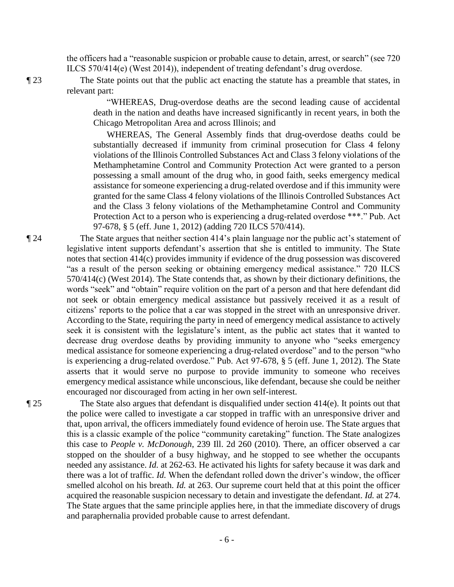the officers had a "reasonable suspicion or probable cause to detain, arrest, or search" (see 720 ILCS 570/414(e) (West 2014)), independent of treating defendant's drug overdose.

¶ 23 The State points out that the public act enacting the statute has a preamble that states, in relevant part:

> "WHEREAS, Drug-overdose deaths are the second leading cause of accidental death in the nation and deaths have increased significantly in recent years, in both the Chicago Metropolitan Area and across Illinois; and

> WHEREAS, The General Assembly finds that drug-overdose deaths could be substantially decreased if immunity from criminal prosecution for Class 4 felony violations of the Illinois Controlled Substances Act and Class 3 felony violations of the Methamphetamine Control and Community Protection Act were granted to a person possessing a small amount of the drug who, in good faith, seeks emergency medical assistance for someone experiencing a drug-related overdose and if this immunity were granted for the same Class 4 felony violations of the Illinois Controlled Substances Act and the Class 3 felony violations of the Methamphetamine Control and Community Protection Act to a person who is experiencing a drug-related overdose \*\*\*." Pub. Act 97-678, § 5 (eff. June 1, 2012) (adding 720 ILCS 570/414).

¶ 24 The State argues that neither section 414's plain language nor the public act's statement of legislative intent supports defendant's assertion that she is entitled to immunity. The State notes that section 414(c) provides immunity if evidence of the drug possession was discovered "as a result of the person seeking or obtaining emergency medical assistance." 720 ILCS 570/414(c) (West 2014). The State contends that, as shown by their dictionary definitions, the words "seek" and "obtain" require volition on the part of a person and that here defendant did not seek or obtain emergency medical assistance but passively received it as a result of citizens' reports to the police that a car was stopped in the street with an unresponsive driver. According to the State, requiring the party in need of emergency medical assistance to actively seek it is consistent with the legislature's intent, as the public act states that it wanted to decrease drug overdose deaths by providing immunity to anyone who "seeks emergency medical assistance for someone experiencing a drug-related overdose" and to the person "who is experiencing a drug-related overdose." Pub. Act 97-678, § 5 (eff. June 1, 2012). The State asserts that it would serve no purpose to provide immunity to someone who receives emergency medical assistance while unconscious, like defendant, because she could be neither encouraged nor discouraged from acting in her own self-interest.

¶ 25 The State also argues that defendant is disqualified under section 414(e). It points out that the police were called to investigate a car stopped in traffic with an unresponsive driver and that, upon arrival, the officers immediately found evidence of heroin use. The State argues that this is a classic example of the police "community caretaking" function. The State analogizes this case to *People v. McDonough*, 239 Ill. 2d 260 (2010). There, an officer observed a car stopped on the shoulder of a busy highway, and he stopped to see whether the occupants needed any assistance. *Id.* at 262-63. He activated his lights for safety because it was dark and there was a lot of traffic. *Id.* When the defendant rolled down the driver's window, the officer smelled alcohol on his breath. *Id.* at 263. Our supreme court held that at this point the officer acquired the reasonable suspicion necessary to detain and investigate the defendant. *Id.* at 274. The State argues that the same principle applies here, in that the immediate discovery of drugs and paraphernalia provided probable cause to arrest defendant.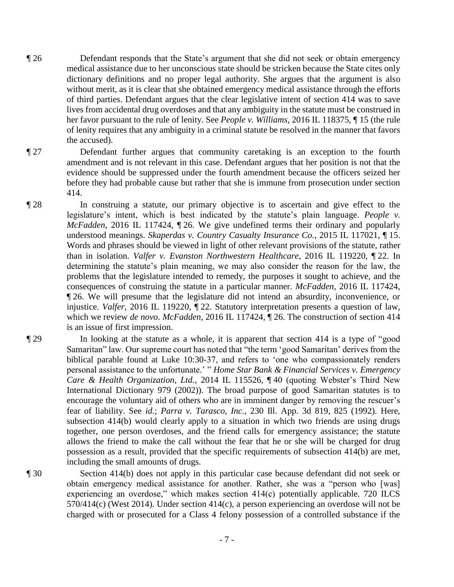- ¶ 26 Defendant responds that the State's argument that she did not seek or obtain emergency medical assistance due to her unconscious state should be stricken because the State cites only dictionary definitions and no proper legal authority. She argues that the argument is also without merit, as it is clear that she obtained emergency medical assistance through the efforts of third parties. Defendant argues that the clear legislative intent of section 414 was to save lives from accidental drug overdoses and that any ambiguity in the statute must be construed in her favor pursuant to the rule of lenity. See *People v. Williams*, 2016 IL 118375, ¶ 15 (the rule of lenity requires that any ambiguity in a criminal statute be resolved in the manner that favors the accused).
- ¶ 27 Defendant further argues that community caretaking is an exception to the fourth amendment and is not relevant in this case. Defendant argues that her position is not that the evidence should be suppressed under the fourth amendment because the officers seized her before they had probable cause but rather that she is immune from prosecution under section 414.
- ¶ 28 In construing a statute, our primary objective is to ascertain and give effect to the legislature's intent, which is best indicated by the statute's plain language. *People v. McFadden*, 2016 IL 117424, ¶ 26. We give undefined terms their ordinary and popularly understood meanings. *Skaperdas v. Country Casualty Insurance Co.*, 2015 IL 117021, ¶ 15. Words and phrases should be viewed in light of other relevant provisions of the statute, rather than in isolation. *Valfer v. Evanston Northwestern Healthcare*, 2016 IL 119220, ¶ 22. In determining the statute's plain meaning, we may also consider the reason for the law, the problems that the legislature intended to remedy, the purposes it sought to achieve, and the consequences of construing the statute in a particular manner. *McFadden*, 2016 IL 117424, ¶ 26. We will presume that the legislature did not intend an absurdity, inconvenience, or injustice. *Valfer*, 2016 IL 119220, ¶ 22. Statutory interpretation presents a question of law, which we review *de novo*. *McFadden*, 2016 IL 117424, ¶ 26. The construction of section 414 is an issue of first impression.
- ¶ 29 In looking at the statute as a whole, it is apparent that section 414 is a type of "good Samaritan" law. Our supreme court has noted that "the term 'good Samaritan' derives from the biblical parable found at Luke 10:30-37, and refers to 'one who compassionately renders personal assistance to the unfortunate.' " *Home Star Bank & Financial Services v. Emergency Care & Health Organization, Ltd.*, 2014 IL 115526, ¶ 40 (quoting Webster's Third New International Dictionary 979 (2002)). The broad purpose of good Samaritan statutes is to encourage the voluntary aid of others who are in imminent danger by removing the rescuer's fear of liability. See *id.*; *Parra v. Tarasco, Inc.*, 230 Ill. App. 3d 819, 825 (1992). Here, subsection 414(b) would clearly apply to a situation in which two friends are using drugs together, one person overdoses, and the friend calls for emergency assistance; the statute allows the friend to make the call without the fear that he or she will be charged for drug possession as a result, provided that the specific requirements of subsection 414(b) are met, including the small amounts of drugs.
- 

¶ 30 Section 414(b) does not apply in this particular case because defendant did not seek or obtain emergency medical assistance for another. Rather, she was a "person who [was] experiencing an overdose," which makes section 414(c) potentially applicable. 720 ILCS 570/414(c) (West 2014). Under section 414(c), a person experiencing an overdose will not be charged with or prosecuted for a Class 4 felony possession of a controlled substance if the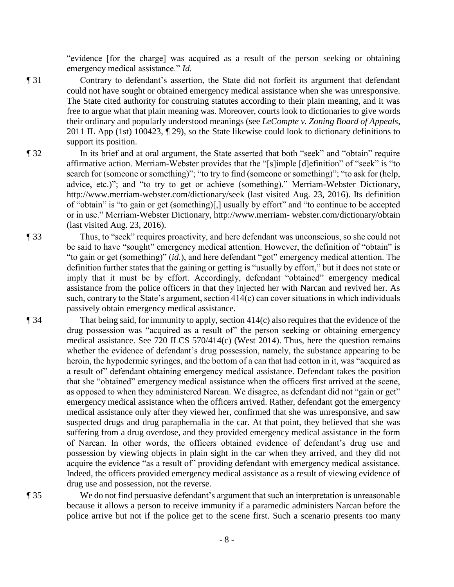"evidence [for the charge] was acquired as a result of the person seeking or obtaining emergency medical assistance." *Id.*

- ¶ 31 Contrary to defendant's assertion, the State did not forfeit its argument that defendant could not have sought or obtained emergency medical assistance when she was unresponsive. The State cited authority for construing statutes according to their plain meaning, and it was free to argue what that plain meaning was. Moreover, courts look to dictionaries to give words their ordinary and popularly understood meanings (see *LeCompte v. Zoning Board of Appeals*, 2011 IL App (1st) 100423, ¶ 29), so the State likewise could look to dictionary definitions to support its position.
- ¶ 32 In its brief and at oral argument, the State asserted that both "seek" and "obtain" require affirmative action. Merriam-Webster provides that the "[s]imple [d]efinition" of "seek" is "to search for (someone or something)"; "to try to find (someone or something)"; "to ask for (help, advice, etc.)"; and "to try to get or achieve (something)." Merriam-Webster Dictionary, http://www.merriam-webster.com/dictionary/seek (last visited Aug. 23, 2016). Its definition of "obtain" is "to gain or get (something)[,] usually by effort" and "to continue to be accepted or in use." Merriam-Webster Dictionary, http://www.merriam- webster.com/dictionary/obtain (last visited Aug. 23, 2016).
- ¶ 33 Thus, to "seek" requires proactivity, and here defendant was unconscious, so she could not be said to have "sought" emergency medical attention. However, the definition of "obtain" is "to gain or get (something)" (*id.*), and here defendant "got" emergency medical attention. The definition further states that the gaining or getting is "usually by effort," but it does not state or imply that it must be by effort. Accordingly, defendant "obtained" emergency medical assistance from the police officers in that they injected her with Narcan and revived her. As such, contrary to the State's argument, section 414(c) can cover situations in which individuals passively obtain emergency medical assistance.

¶ 34 That being said, for immunity to apply, section 414(c) also requires that the evidence of the drug possession was "acquired as a result of" the person seeking or obtaining emergency medical assistance. See 720 ILCS 570/414(c) (West 2014). Thus, here the question remains whether the evidence of defendant's drug possession, namely, the substance appearing to be heroin, the hypodermic syringes, and the bottom of a can that had cotton in it, was "acquired as a result of" defendant obtaining emergency medical assistance. Defendant takes the position that she "obtained" emergency medical assistance when the officers first arrived at the scene, as opposed to when they administered Narcan. We disagree, as defendant did not "gain or get" emergency medical assistance when the officers arrived. Rather, defendant got the emergency medical assistance only after they viewed her, confirmed that she was unresponsive, and saw suspected drugs and drug paraphernalia in the car. At that point, they believed that she was suffering from a drug overdose, and they provided emergency medical assistance in the form of Narcan. In other words, the officers obtained evidence of defendant's drug use and possession by viewing objects in plain sight in the car when they arrived, and they did not acquire the evidence "as a result of" providing defendant with emergency medical assistance. Indeed, the officers provided emergency medical assistance as a result of viewing evidence of drug use and possession, not the reverse.

¶ 35 We do not find persuasive defendant's argument that such an interpretation is unreasonable because it allows a person to receive immunity if a paramedic administers Narcan before the police arrive but not if the police get to the scene first. Such a scenario presents too many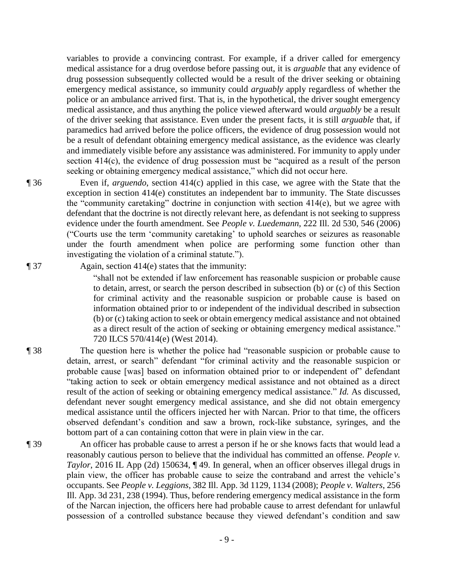variables to provide a convincing contrast. For example, if a driver called for emergency medical assistance for a drug overdose before passing out, it is *arguable* that any evidence of drug possession subsequently collected would be a result of the driver seeking or obtaining emergency medical assistance, so immunity could *arguably* apply regardless of whether the police or an ambulance arrived first. That is, in the hypothetical, the driver sought emergency medical assistance, and thus anything the police viewed afterward would *arguably* be a result of the driver seeking that assistance. Even under the present facts, it is still *arguable* that, if paramedics had arrived before the police officers, the evidence of drug possession would not be a result of defendant obtaining emergency medical assistance, as the evidence was clearly and immediately visible before any assistance was administered. For immunity to apply under section 414(c), the evidence of drug possession must be "acquired as a result of the person seeking or obtaining emergency medical assistance," which did not occur here.

¶ 36 Even if, *arguendo*, section 414(c) applied in this case, we agree with the State that the exception in section 414(e) constitutes an independent bar to immunity. The State discusses the "community caretaking" doctrine in conjunction with section 414(e), but we agree with defendant that the doctrine is not directly relevant here, as defendant is not seeking to suppress evidence under the fourth amendment. See *People v. Luedemann*, 222 Ill. 2d 530, 546 (2006) ("Courts use the term 'community caretaking' to uphold searches or seizures as reasonable under the fourth amendment when police are performing some function other than investigating the violation of a criminal statute.").

¶ 37 Again, section 414(e) states that the immunity:

"shall not be extended if law enforcement has reasonable suspicion or probable cause to detain, arrest, or search the person described in subsection (b) or (c) of this Section for criminal activity and the reasonable suspicion or probable cause is based on information obtained prior to or independent of the individual described in subsection (b) or (c) taking action to seek or obtain emergency medical assistance and not obtained as a direct result of the action of seeking or obtaining emergency medical assistance." 720 ILCS 570/414(e) (West 2014).

- ¶ 38 The question here is whether the police had "reasonable suspicion or probable cause to detain, arrest, or search" defendant "for criminal activity and the reasonable suspicion or probable cause [was] based on information obtained prior to or independent of" defendant "taking action to seek or obtain emergency medical assistance and not obtained as a direct result of the action of seeking or obtaining emergency medical assistance." *Id.* As discussed, defendant never sought emergency medical assistance, and she did not obtain emergency medical assistance until the officers injected her with Narcan. Prior to that time, the officers observed defendant's condition and saw a brown, rock-like substance, syringes, and the bottom part of a can containing cotton that were in plain view in the car.
- ¶ 39 An officer has probable cause to arrest a person if he or she knows facts that would lead a reasonably cautious person to believe that the individual has committed an offense. *People v. Taylor*, 2016 IL App (2d) 150634,  $\P$  49. In general, when an officer observes illegal drugs in plain view, the officer has probable cause to seize the contraband and arrest the vehicle's occupants. See *People v. Leggions*, 382 Ill. App. 3d 1129, 1134 (2008); *People v. Walters*, 256 Ill. App. 3d 231, 238 (1994). Thus, before rendering emergency medical assistance in the form of the Narcan injection, the officers here had probable cause to arrest defendant for unlawful possession of a controlled substance because they viewed defendant's condition and saw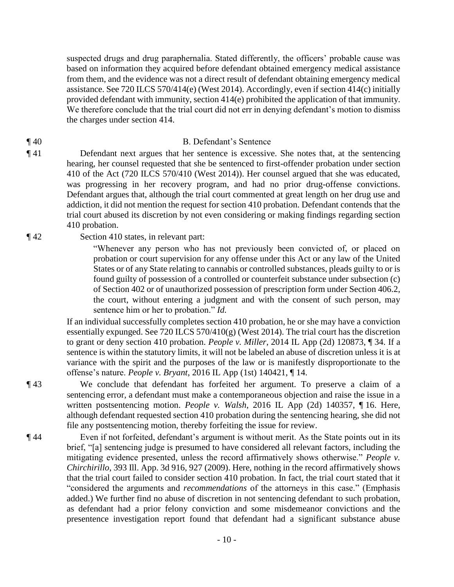suspected drugs and drug paraphernalia. Stated differently, the officers' probable cause was based on information they acquired before defendant obtained emergency medical assistance from them, and the evidence was not a direct result of defendant obtaining emergency medical assistance. See 720 ILCS 570/414(e) (West 2014). Accordingly, even if section 414(c) initially provided defendant with immunity, section 414(e) prohibited the application of that immunity. We therefore conclude that the trial court did not err in denying defendant's motion to dismiss the charges under section 414.

### ¶ 40 B. Defendant's Sentence

¶ 41 Defendant next argues that her sentence is excessive. She notes that, at the sentencing hearing, her counsel requested that she be sentenced to first-offender probation under section 410 of the Act (720 ILCS 570/410 (West 2014)). Her counsel argued that she was educated, was progressing in her recovery program, and had no prior drug-offense convictions. Defendant argues that, although the trial court commented at great length on her drug use and addiction, it did not mention the request for section 410 probation. Defendant contends that the trial court abused its discretion by not even considering or making findings regarding section 410 probation.

¶ 42 Section 410 states, in relevant part:

"Whenever any person who has not previously been convicted of, or placed on probation or court supervision for any offense under this Act or any law of the United States or of any State relating to cannabis or controlled substances, pleads guilty to or is found guilty of possession of a controlled or counterfeit substance under subsection (c) of Section 402 or of unauthorized possession of prescription form under Section 406.2, the court, without entering a judgment and with the consent of such person, may sentence him or her to probation." *Id.*

If an individual successfully completes section 410 probation, he or she may have a conviction essentially expunged. See 720 ILCS 570/410(g) (West 2014). The trial court has the discretion to grant or deny section 410 probation. *People v. Miller*, 2014 IL App (2d) 120873, ¶ 34. If a sentence is within the statutory limits, it will not be labeled an abuse of discretion unless it is at variance with the spirit and the purposes of the law or is manifestly disproportionate to the offense's nature. *People v. Bryant*, 2016 IL App (1st) 140421, ¶ 14.

¶ 43 We conclude that defendant has forfeited her argument. To preserve a claim of a sentencing error, a defendant must make a contemporaneous objection and raise the issue in a written postsentencing motion. *People v. Walsh*, 2016 IL App (2d) 140357, ¶ 16. Here, although defendant requested section 410 probation during the sentencing hearing, she did not file any postsentencing motion, thereby forfeiting the issue for review.

¶ 44 Even if not forfeited, defendant's argument is without merit. As the State points out in its brief, "[a] sentencing judge is presumed to have considered all relevant factors, including the mitigating evidence presented, unless the record affirmatively shows otherwise." *People v. Chirchirillo*, 393 Ill. App. 3d 916, 927 (2009). Here, nothing in the record affirmatively shows that the trial court failed to consider section 410 probation. In fact, the trial court stated that it "considered the arguments and *recommendations* of the attorneys in this case." (Emphasis added.) We further find no abuse of discretion in not sentencing defendant to such probation, as defendant had a prior felony conviction and some misdemeanor convictions and the presentence investigation report found that defendant had a significant substance abuse